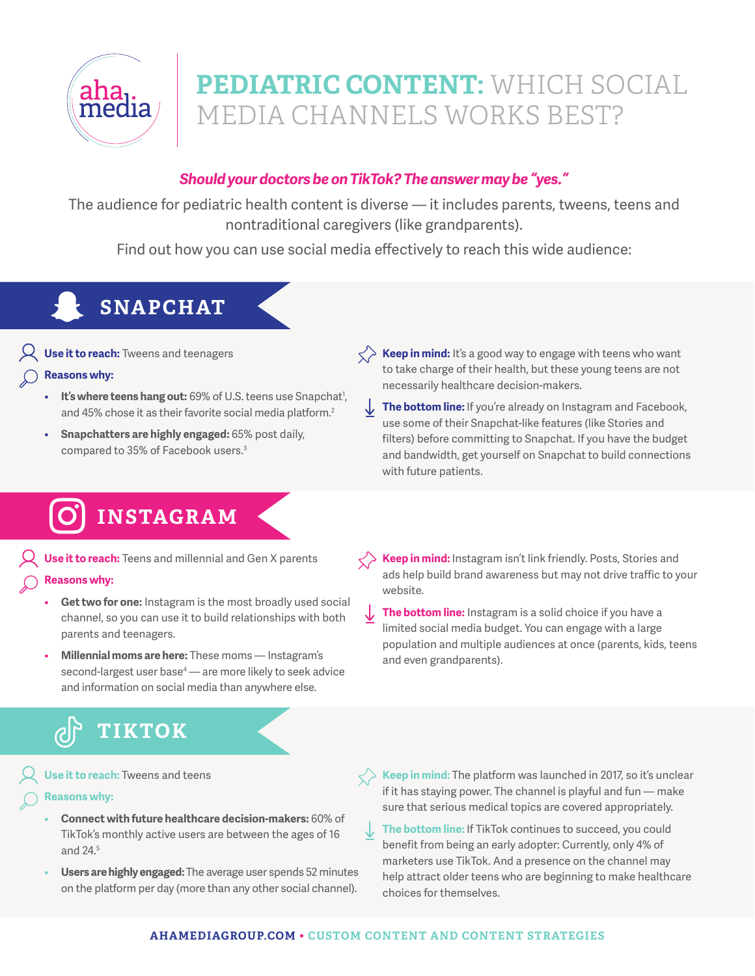

# **PEDIATRIC CONTENT:** WHICH SOCIAL MEDIA CHANNELS WORKS BEST?

### *Should your doctors be on TikTok? The answer may be "yes."*

The audience for pediatric health content is diverse — it includes parents, tweens, teens and nontraditional caregivers (like grandparents).

Find out how you can use social media effectively to reach this wide audience:

# **SNAPCHAT**

**Use it to reach:** Tweens and teenagers

#### **Reasons why:**

- It's where teens hang out: 69% of U.S. teens use Snapchat<sup>1</sup>, and 45% chose it as their favorite social media platform.<sup>2</sup>
- **Snapchatters are highly engaged:** 65% post daily, compared to 35% of Facebook users.<sup>3</sup>
- $\langle \rangle$  **Keep in mind:** It's a good way to engage with teens who want to take charge of their health, but these young teens are not necessarily healthcare decision-makers.
- The bottom line: If you're already on Instagram and Facebook, use some of their Snapchat-like features (like Stories and filters) before committing to Snapchat. If you have the budget and bandwidth, get yourself on Snapchat to build connections with future patients.

## **INSTAGRAM**

**Use it to reach:** Teens and millennial and Gen X parents **Reasons why:** 

- **Get two for one:** Instagram is the most broadly used social channel, so you can use it to build relationships with both parents and teenagers.
- **Millennial moms are here:** These moms Instagram's second-largest user base<sup>4</sup> — are more likely to seek advice and information on social media than anywhere else.
- **Keep in mind:** Instagram isn't link friendly. Posts, Stories and ads help build brand awareness but may not drive traffic to your website.
- **The bottom line:** Instagram is a solid choice if you have a ↓ limited social media budget. You can engage with a large population and multiple audiences at once (parents, kids, teens and even grandparents).

## **TIKTOK**

**Use it to reach:** Tweens and teens

- **Reasons why:**
	- **Connect with future healthcare decision-makers:** 60% of TikTok's monthly active users are between the ages of 16 and 24.5
	- **Users are highly engaged:** The average user spends 52 minutes on the platform per day (more than any other social channel).
- **Keep in mind:** The platform was launched in 2017, so it's unclear if it has staying power. The channel is playful and fun — make sure that serious medical topics are covered appropriately.
	- **The bottom line:** If TikTok continues to succeed, you could benefit from being an early adopter: Currently, only 4% of marketers use TikTok. And a presence on the channel may help attract older teens who are beginning to make healthcare choices for themselves.